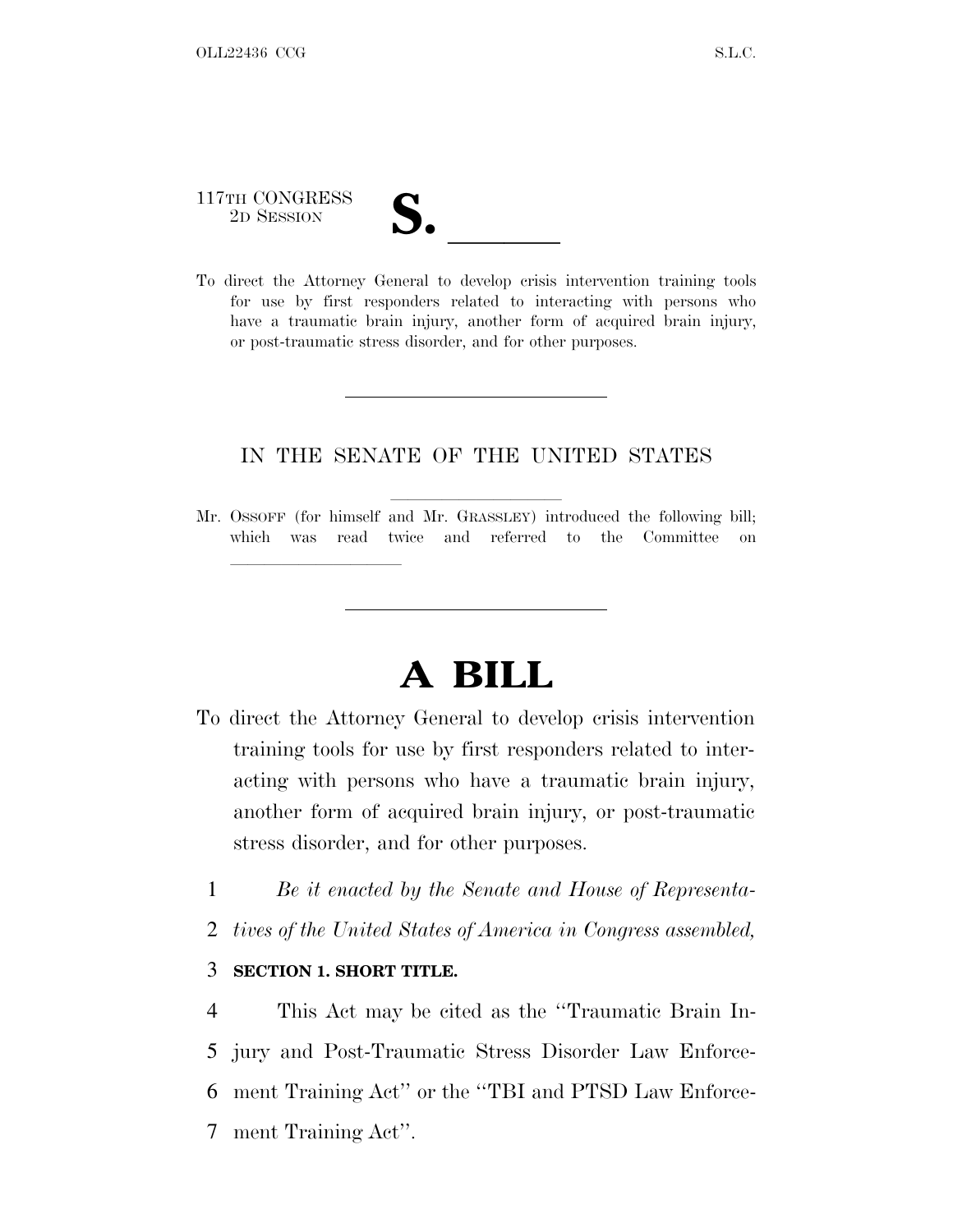# 117TH CONGRESS

lland and a state of the state of the state of the state of the state of the state of the state of the state o

117TH CONGRESS<br>
2D SESSION<br>
To direct the Attorney General to develop crisis intervention training tools for use by first responders related to interacting with persons who have a traumatic brain injury, another form of acquired brain injury, or post-traumatic stress disorder, and for other purposes.

#### IN THE SENATE OF THE UNITED STATES

Mr. OSSOFF (for himself and Mr. GRASSLEY) introduced the following bill; which was read twice and referred to the Committee on

## **A BILL**

- To direct the Attorney General to develop crisis intervention training tools for use by first responders related to interacting with persons who have a traumatic brain injury, another form of acquired brain injury, or post-traumatic stress disorder, and for other purposes.
	- 1 *Be it enacted by the Senate and House of Representa-*
	- 2 *tives of the United States of America in Congress assembled,*

#### 3 **SECTION 1. SHORT TITLE.**

 This Act may be cited as the ''Traumatic Brain In- jury and Post-Traumatic Stress Disorder Law Enforce- ment Training Act'' or the ''TBI and PTSD Law Enforce-ment Training Act''.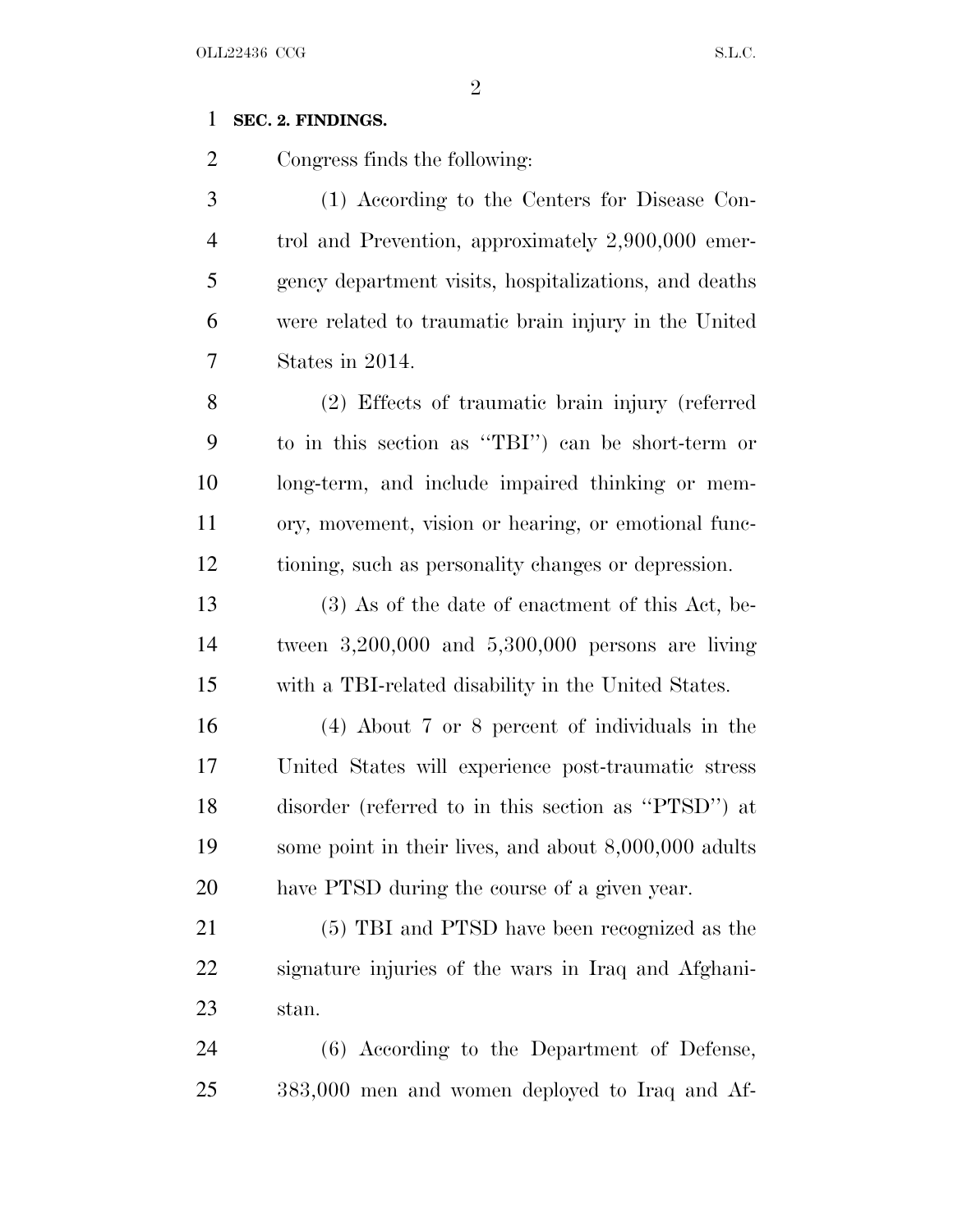#### **SEC. 2. FINDINGS.**

Congress finds the following:

 (1) According to the Centers for Disease Con- trol and Prevention, approximately 2,900,000 emer- gency department visits, hospitalizations, and deaths were related to traumatic brain injury in the United States in 2014.

 (2) Effects of traumatic brain injury (referred to in this section as ''TBI'') can be short-term or long-term, and include impaired thinking or mem- ory, movement, vision or hearing, or emotional func-tioning, such as personality changes or depression.

 (3) As of the date of enactment of this Act, be- tween 3,200,000 and 5,300,000 persons are living with a TBI-related disability in the United States.

 (4) About 7 or 8 percent of individuals in the United States will experience post-traumatic stress disorder (referred to in this section as ''PTSD'') at some point in their lives, and about 8,000,000 adults have PTSD during the course of a given year.

 (5) TBI and PTSD have been recognized as the signature injuries of the wars in Iraq and Afghani-stan.

 (6) According to the Department of Defense, 383,000 men and women deployed to Iraq and Af-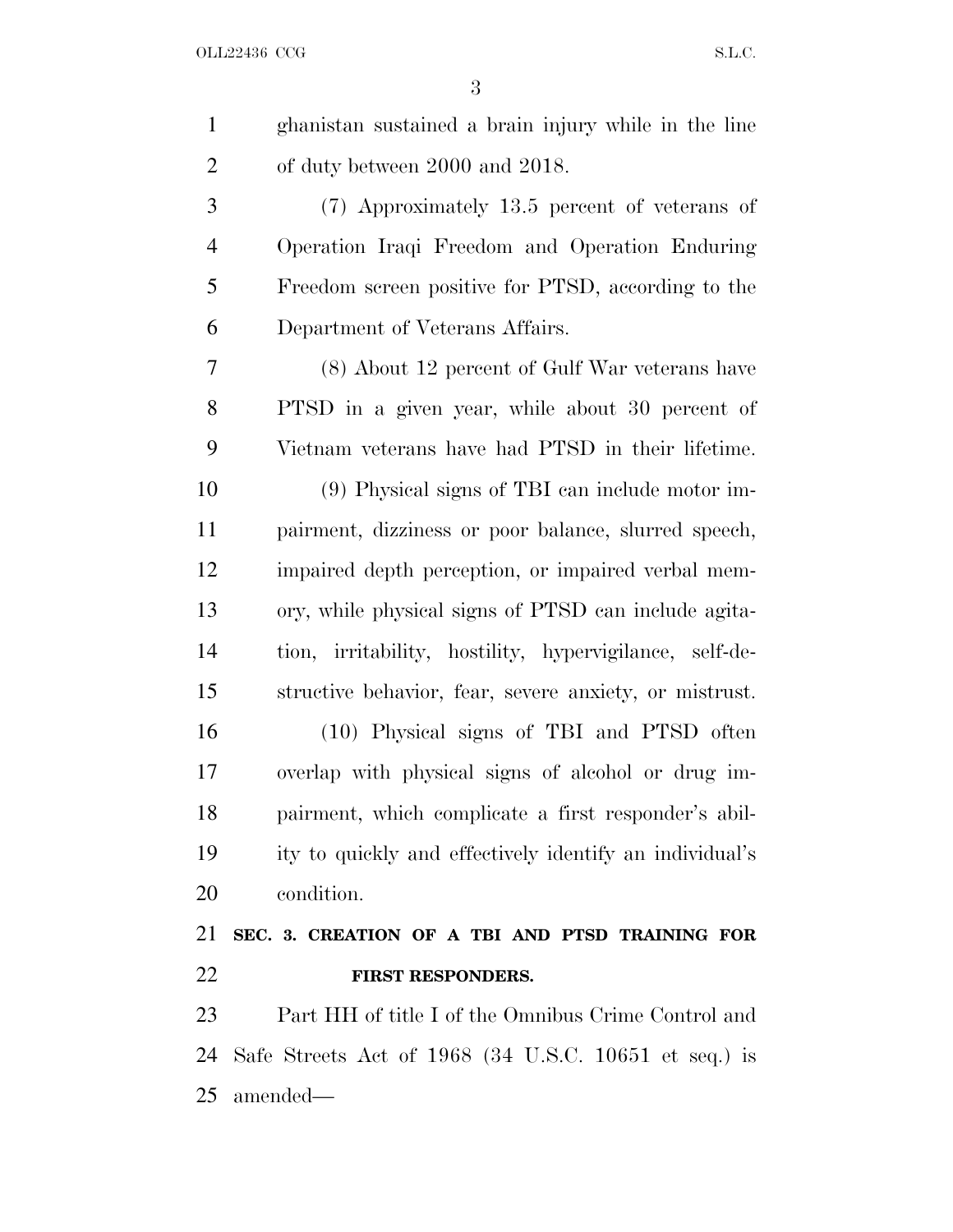| $\mathbf{1}$   | ghanistan sustained a brain injury while in the line    |
|----------------|---------------------------------------------------------|
| $\overline{2}$ | of duty between 2000 and 2018.                          |
| 3              | (7) Approximately 13.5 percent of veterans of           |
| $\overline{4}$ | Operation Iraqi Freedom and Operation Enduring          |
| 5              | Freedom screen positive for PTSD, according to the      |
| 6              | Department of Veterans Affairs.                         |
| 7              | (8) About 12 percent of Gulf War veterans have          |
| 8              | PTSD in a given year, while about 30 percent of         |
| 9              | Vietnam veterans have had PTSD in their lifetime.       |
| 10             | (9) Physical signs of TBI can include motor im-         |
| 11             | pairment, dizziness or poor balance, slurred speech,    |
| 12             | impaired depth perception, or impaired verbal mem-      |
| 13             | ory, while physical signs of PTSD can include agita-    |
| 14             | tion, irritability, hostility, hypervigilance, self-de- |
| 15             | structive behavior, fear, severe anxiety, or mistrust.  |
| 16             | (10) Physical signs of TBI and PTSD often               |
| 17             | overlap with physical signs of alcohol or drug im-      |
| 18             | pairment, which complicate a first responder's abil-    |
| 19             | ity to quickly and effectively identify an individual's |
| 20             | condition.                                              |
| 21             | SEC. 3. CREATION OF A TBI AND PTSD TRAINING FOR         |
| 22             | FIRST RESPONDERS.                                       |
| 23             | Part HH of title I of the Omnibus Crime Control and     |
| 24             | Safe Streets Act of 1968 (34 U.S.C. 10651 et seq.) is   |
|                |                                                         |

amended—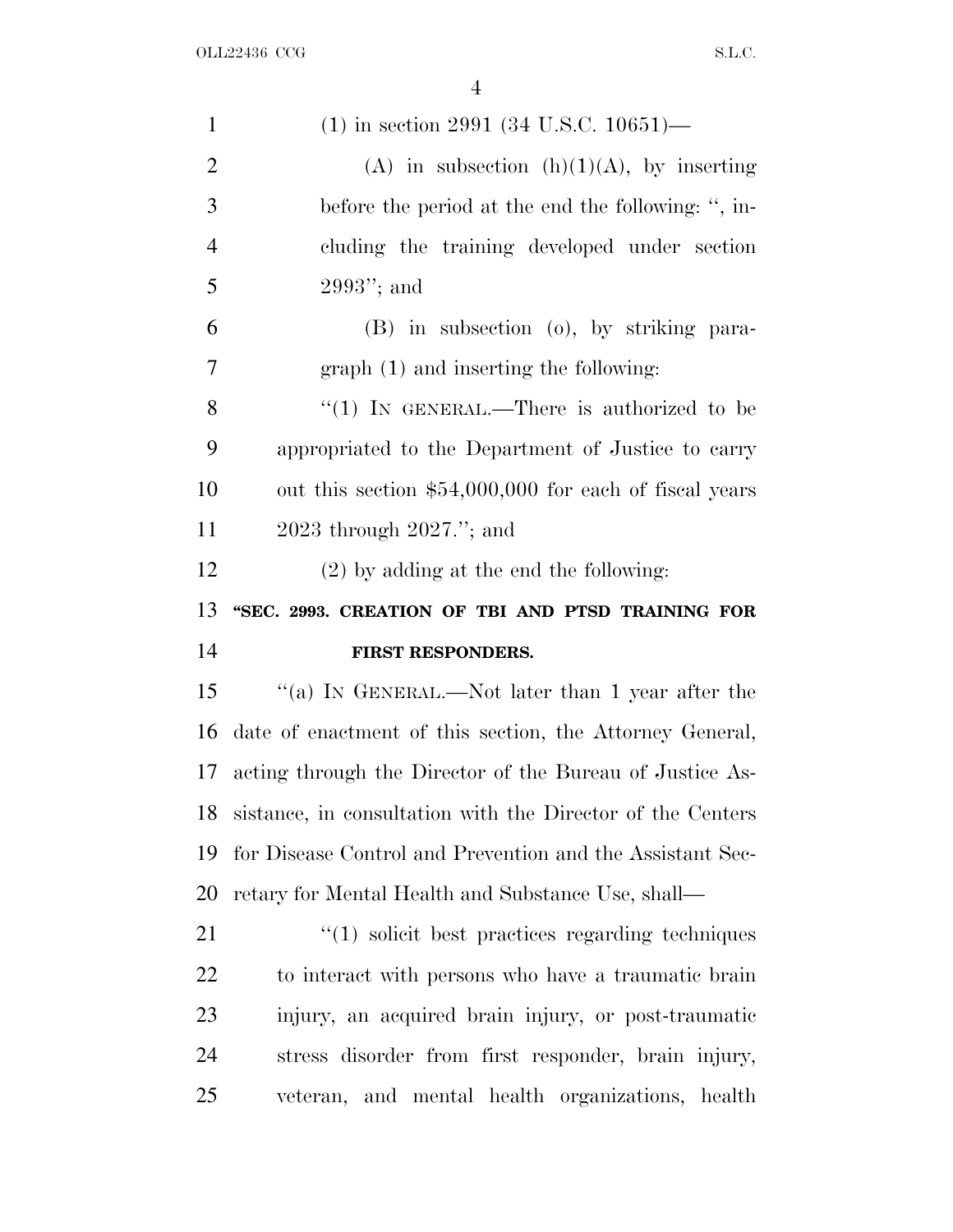| $\mathbf{1}$   | $(1)$ in section 2991 (34 U.S.C. 10651)—                         |
|----------------|------------------------------------------------------------------|
| $\overline{2}$ | (A) in subsection $(h)(1)(A)$ , by inserting                     |
| 3              | before the period at the end the following: ", in-               |
| $\overline{4}$ | cluding the training developed under section                     |
| 5              | $2993"$ ; and                                                    |
| 6              | (B) in subsection (o), by striking para-                         |
| 7              | $graph(1)$ and inserting the following:                          |
| 8              | "(1) IN GENERAL.—There is authorized to be                       |
| 9              | appropriated to the Department of Justice to carry               |
| 10             | out this section \$54,000,000 for each of fiscal years           |
| 11             | $2023$ through $2027$ ."; and                                    |
| 12             | $(2)$ by adding at the end the following:                        |
|                |                                                                  |
| 13             | "SEC. 2993. CREATION OF TBI AND PTSD TRAINING FOR                |
| 14             | FIRST RESPONDERS.                                                |
| 15             | "(a) IN GENERAL.—Not later than 1 year after the                 |
| 16             | date of enactment of this section, the Attorney General,         |
| 17             | acting through the Director of the Bureau of Justice As-         |
| 18             | sistance, in consultation with the Director of the Centers       |
| 19             | for Disease Control and Prevention and the Assistant Sec-        |
| 20             | retary for Mental Health and Substance Use, shall—               |
| 21             | $\cdot\cdot\cdot(1)$ solicit best practices regarding techniques |
| 22             | to interact with persons who have a traumatic brain              |
| 23             | injury, an acquired brain injury, or post-traumatic              |
| 24             | stress disorder from first responder, brain injury,              |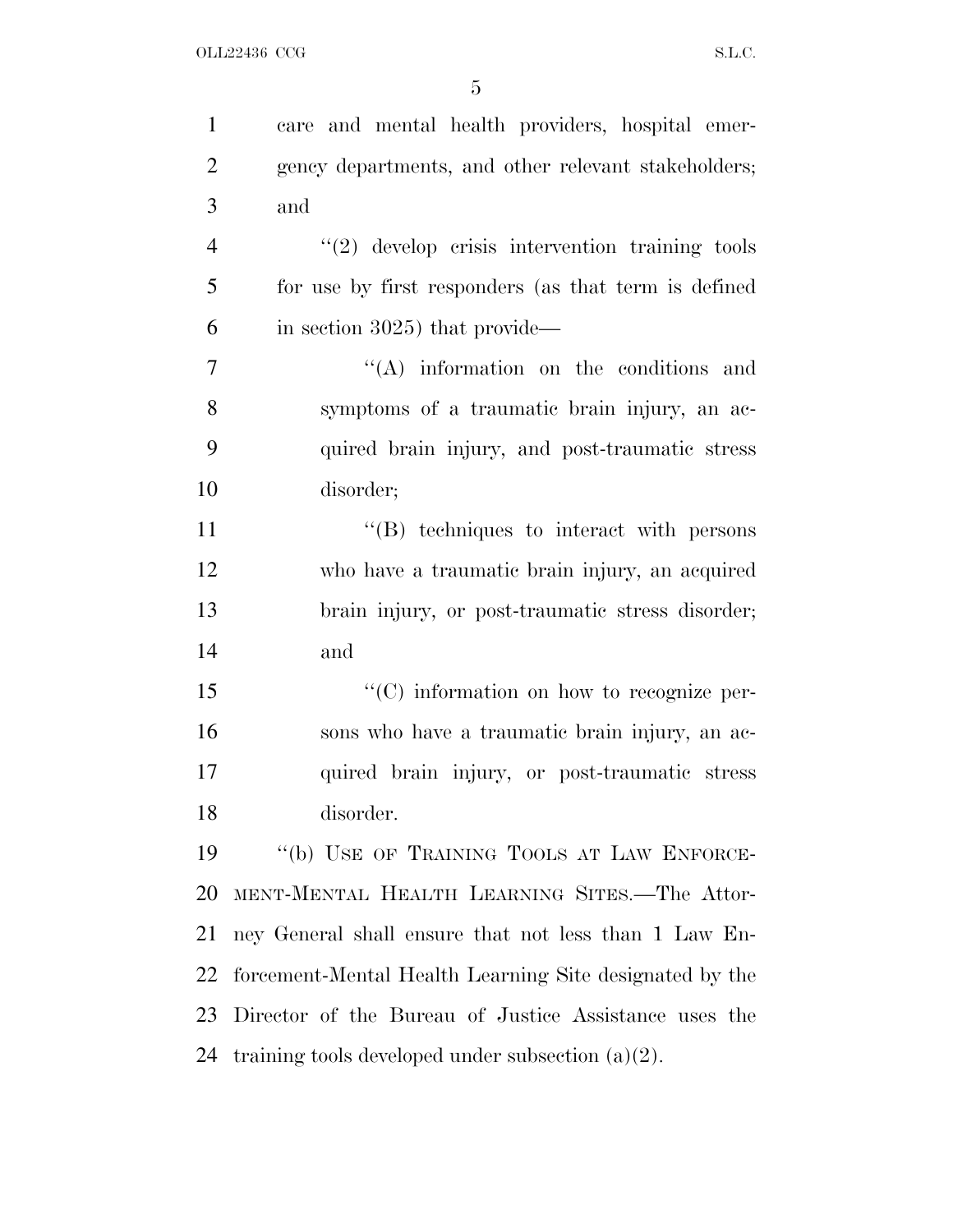| $\mathbf{1}$   | care and mental health providers, hospital emer-        |
|----------------|---------------------------------------------------------|
| $\overline{2}$ | gency departments, and other relevant stakeholders;     |
| 3              | and                                                     |
| $\overline{4}$ | $"(2)$ develop crisis intervention training tools       |
| 5              | for use by first responders (as that term is defined    |
| 6              | in section 3025) that provide—                          |
| 7              | $\lq\lq$ information on the conditions and              |
| 8              | symptoms of a traumatic brain injury, an ac-            |
| 9              | quired brain injury, and post-traumatic stress          |
| 10             | disorder;                                               |
| 11             | "(B) techniques to interact with persons                |
| 12             | who have a traumatic brain injury, an acquired          |
| 13             | brain injury, or post-traumatic stress disorder;        |
| 14             | and                                                     |
| 15             | $\lq\lq$ (C) information on how to recognize per-       |
| 16             | sons who have a traumatic brain injury, an ac-          |
| 17             | quired brain injury, or post-traumatic stress           |
| 18             | disorder.                                               |
| 19             | "(b) USE OF TRAINING TOOLS AT LAW ENFORCE-              |
| 20             | MENT-MENTAL HEALTH LEARNING SITES.-The Attor-           |
| 21             | ney General shall ensure that not less than 1 Law En-   |
| 22             | forcement-Mental Health Learning Site designated by the |
| 23             | Director of the Bureau of Justice Assistance uses the   |
| 24             | training tools developed under subsection $(a)(2)$ .    |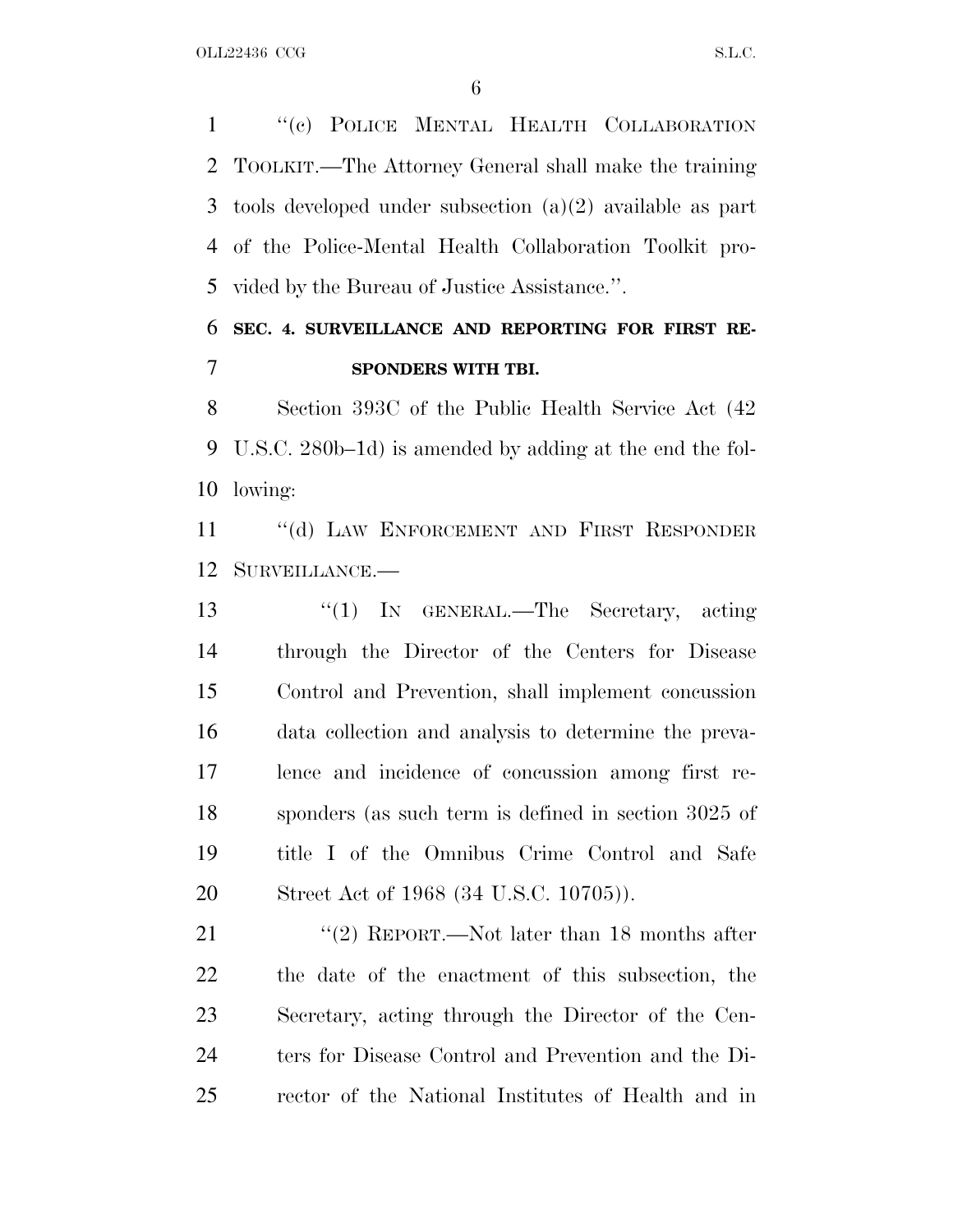''(c) POLICE MENTAL HEALTH COLLABORATION TOOLKIT.—The Attorney General shall make the training tools developed under subsection (a)(2) available as part of the Police-Mental Health Collaboration Toolkit pro-vided by the Bureau of Justice Assistance.''.

### **SEC. 4. SURVEILLANCE AND REPORTING FOR FIRST RE-SPONDERS WITH TBI.**

 Section 393C of the Public Health Service Act (42 U.S.C. 280b–1d) is amended by adding at the end the fol-lowing:

 ''(d) LAW ENFORCEMENT AND FIRST RESPONDER SURVEILLANCE.—

13 "(1) IN GENERAL.—The Secretary, acting through the Director of the Centers for Disease Control and Prevention, shall implement concussion data collection and analysis to determine the preva- lence and incidence of concussion among first re- sponders (as such term is defined in section 3025 of title I of the Omnibus Crime Control and Safe Street Act of 1968 (34 U.S.C. 10705)).

21 ''(2) REPORT.—Not later than 18 months after the date of the enactment of this subsection, the Secretary, acting through the Director of the Cen- ters for Disease Control and Prevention and the Di-rector of the National Institutes of Health and in